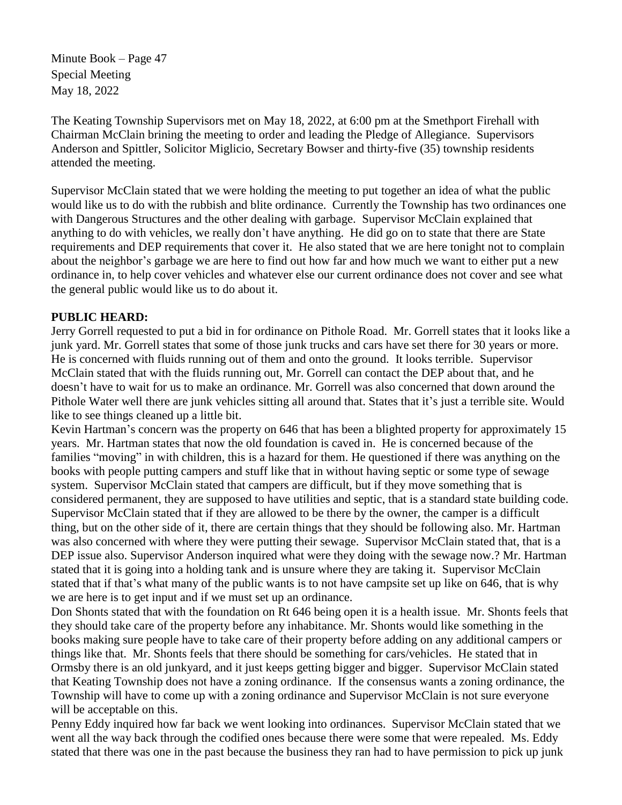Minute Book – Page 47 Special Meeting May 18, 2022

The Keating Township Supervisors met on May 18, 2022, at 6:00 pm at the Smethport Firehall with Chairman McClain brining the meeting to order and leading the Pledge of Allegiance. Supervisors Anderson and Spittler, Solicitor Miglicio, Secretary Bowser and thirty-five (35) township residents attended the meeting.

Supervisor McClain stated that we were holding the meeting to put together an idea of what the public would like us to do with the rubbish and blite ordinance. Currently the Township has two ordinances one with Dangerous Structures and the other dealing with garbage. Supervisor McClain explained that anything to do with vehicles, we really don't have anything. He did go on to state that there are State requirements and DEP requirements that cover it. He also stated that we are here tonight not to complain about the neighbor's garbage we are here to find out how far and how much we want to either put a new ordinance in, to help cover vehicles and whatever else our current ordinance does not cover and see what the general public would like us to do about it.

## **PUBLIC HEARD:**

Jerry Gorrell requested to put a bid in for ordinance on Pithole Road. Mr. Gorrell states that it looks like a junk yard. Mr. Gorrell states that some of those junk trucks and cars have set there for 30 years or more. He is concerned with fluids running out of them and onto the ground. It looks terrible. Supervisor McClain stated that with the fluids running out, Mr. Gorrell can contact the DEP about that, and he doesn't have to wait for us to make an ordinance. Mr. Gorrell was also concerned that down around the Pithole Water well there are junk vehicles sitting all around that. States that it's just a terrible site. Would like to see things cleaned up a little bit.

Kevin Hartman's concern was the property on 646 that has been a blighted property for approximately 15 years. Mr. Hartman states that now the old foundation is caved in. He is concerned because of the families "moving" in with children, this is a hazard for them. He questioned if there was anything on the books with people putting campers and stuff like that in without having septic or some type of sewage system. Supervisor McClain stated that campers are difficult, but if they move something that is considered permanent, they are supposed to have utilities and septic, that is a standard state building code. Supervisor McClain stated that if they are allowed to be there by the owner, the camper is a difficult thing, but on the other side of it, there are certain things that they should be following also. Mr. Hartman was also concerned with where they were putting their sewage. Supervisor McClain stated that, that is a DEP issue also. Supervisor Anderson inquired what were they doing with the sewage now.? Mr. Hartman stated that it is going into a holding tank and is unsure where they are taking it. Supervisor McClain stated that if that's what many of the public wants is to not have campsite set up like on 646, that is why we are here is to get input and if we must set up an ordinance.

Don Shonts stated that with the foundation on Rt 646 being open it is a health issue. Mr. Shonts feels that they should take care of the property before any inhabitance. Mr. Shonts would like something in the books making sure people have to take care of their property before adding on any additional campers or things like that. Mr. Shonts feels that there should be something for cars/vehicles. He stated that in Ormsby there is an old junkyard, and it just keeps getting bigger and bigger. Supervisor McClain stated that Keating Township does not have a zoning ordinance. If the consensus wants a zoning ordinance, the Township will have to come up with a zoning ordinance and Supervisor McClain is not sure everyone will be acceptable on this.

Penny Eddy inquired how far back we went looking into ordinances. Supervisor McClain stated that we went all the way back through the codified ones because there were some that were repealed. Ms. Eddy stated that there was one in the past because the business they ran had to have permission to pick up junk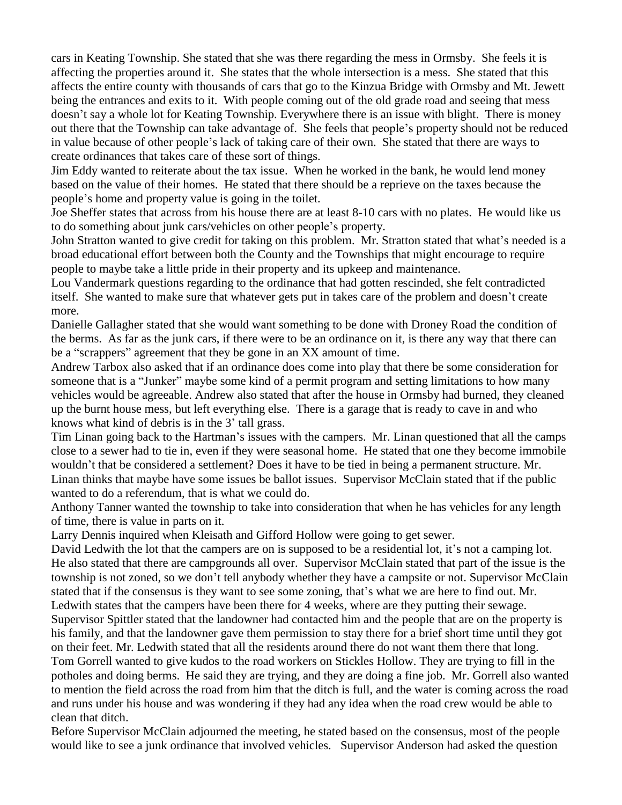cars in Keating Township. She stated that she was there regarding the mess in Ormsby. She feels it is affecting the properties around it. She states that the whole intersection is a mess. She stated that this affects the entire county with thousands of cars that go to the Kinzua Bridge with Ormsby and Mt. Jewett being the entrances and exits to it. With people coming out of the old grade road and seeing that mess doesn't say a whole lot for Keating Township. Everywhere there is an issue with blight. There is money out there that the Township can take advantage of. She feels that people's property should not be reduced in value because of other people's lack of taking care of their own. She stated that there are ways to create ordinances that takes care of these sort of things.

Jim Eddy wanted to reiterate about the tax issue. When he worked in the bank, he would lend money based on the value of their homes. He stated that there should be a reprieve on the taxes because the people's home and property value is going in the toilet.

Joe Sheffer states that across from his house there are at least 8-10 cars with no plates. He would like us to do something about junk cars/vehicles on other people's property.

John Stratton wanted to give credit for taking on this problem. Mr. Stratton stated that what's needed is a broad educational effort between both the County and the Townships that might encourage to require people to maybe take a little pride in their property and its upkeep and maintenance.

Lou Vandermark questions regarding to the ordinance that had gotten rescinded, she felt contradicted itself. She wanted to make sure that whatever gets put in takes care of the problem and doesn't create more.

Danielle Gallagher stated that she would want something to be done with Droney Road the condition of the berms. As far as the junk cars, if there were to be an ordinance on it, is there any way that there can be a "scrappers" agreement that they be gone in an XX amount of time.

Andrew Tarbox also asked that if an ordinance does come into play that there be some consideration for someone that is a "Junker" maybe some kind of a permit program and setting limitations to how many vehicles would be agreeable. Andrew also stated that after the house in Ormsby had burned, they cleaned up the burnt house mess, but left everything else. There is a garage that is ready to cave in and who knows what kind of debris is in the 3' tall grass.

Tim Linan going back to the Hartman's issues with the campers. Mr. Linan questioned that all the camps close to a sewer had to tie in, even if they were seasonal home. He stated that one they become immobile wouldn't that be considered a settlement? Does it have to be tied in being a permanent structure. Mr. Linan thinks that maybe have some issues be ballot issues. Supervisor McClain stated that if the public wanted to do a referendum, that is what we could do.

Anthony Tanner wanted the township to take into consideration that when he has vehicles for any length of time, there is value in parts on it.

Larry Dennis inquired when Kleisath and Gifford Hollow were going to get sewer.

David Ledwith the lot that the campers are on is supposed to be a residential lot, it's not a camping lot. He also stated that there are campgrounds all over. Supervisor McClain stated that part of the issue is the township is not zoned, so we don't tell anybody whether they have a campsite or not. Supervisor McClain stated that if the consensus is they want to see some zoning, that's what we are here to find out. Mr. Ledwith states that the campers have been there for 4 weeks, where are they putting their sewage.

Supervisor Spittler stated that the landowner had contacted him and the people that are on the property is his family, and that the landowner gave them permission to stay there for a brief short time until they got on their feet. Mr. Ledwith stated that all the residents around there do not want them there that long.

Tom Gorrell wanted to give kudos to the road workers on Stickles Hollow. They are trying to fill in the potholes and doing berms. He said they are trying, and they are doing a fine job. Mr. Gorrell also wanted to mention the field across the road from him that the ditch is full, and the water is coming across the road and runs under his house and was wondering if they had any idea when the road crew would be able to clean that ditch.

Before Supervisor McClain adjourned the meeting, he stated based on the consensus, most of the people would like to see a junk ordinance that involved vehicles. Supervisor Anderson had asked the question